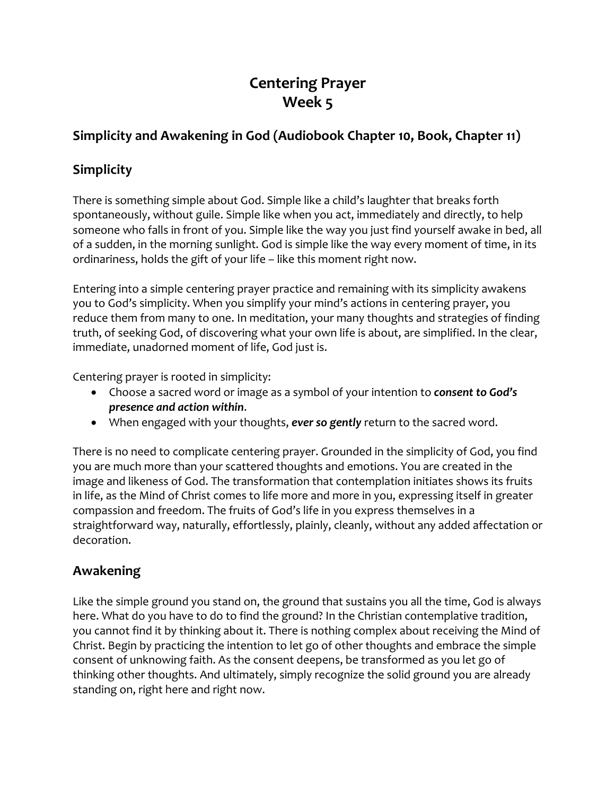# **Centering Prayer Week 5**

## **Simplicity and Awakening in God (Audiobook Chapter 10, Book, Chapter 11)**

## **Simplicity**

There is something simple about God. Simple like a child's laughter that breaks forth spontaneously, without guile. Simple like when you act, immediately and directly, to help someone who falls in front of you. Simple like the way you just find yourself awake in bed, all of a sudden, in the morning sunlight. God is simple like the way every moment of time, in its ordinariness, holds the gift of your life – like this moment right now.

Entering into a simple centering prayer practice and remaining with its simplicity awakens you to God's simplicity. When you simplify your mind's actions in centering prayer, you reduce them from many to one. In meditation, your many thoughts and strategies of finding truth, of seeking God, of discovering what your own life is about, are simplified. In the clear, immediate, unadorned moment of life, God just is.

Centering prayer is rooted in simplicity:

- Choose a sacred word or image as a symbol of your intention to *consent to God's presence and action within*.
- When engaged with your thoughts, *ever so gently* return to the sacred word.

There is no need to complicate centering prayer. Grounded in the simplicity of God, you find you are much more than your scattered thoughts and emotions. You are created in the image and likeness of God. The transformation that contemplation initiates shows its fruits in life, as the Mind of Christ comes to life more and more in you, expressing itself in greater compassion and freedom. The fruits of God's life in you express themselves in a straightforward way, naturally, effortlessly, plainly, cleanly, without any added affectation or decoration.

### **Awakening**

Like the simple ground you stand on, the ground that sustains you all the time, God is always here. What do you have to do to find the ground? In the Christian contemplative tradition, you cannot find it by thinking about it. There is nothing complex about receiving the Mind of Christ. Begin by practicing the intention to let go of other thoughts and embrace the simple consent of unknowing faith. As the consent deepens, be transformed as you let go of thinking other thoughts. And ultimately, simply recognize the solid ground you are already standing on, right here and right now.